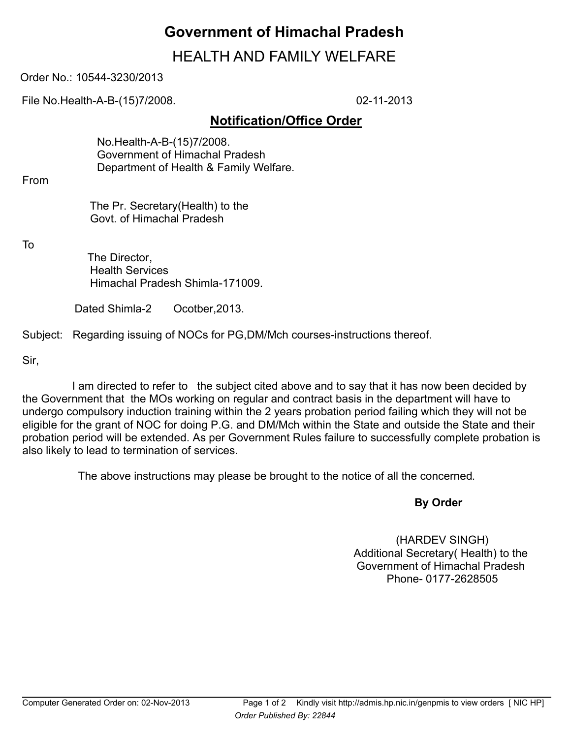## **Government of Himachal Pradesh**

## HEALTH AND FAMILY WELFARE

Order No.: 10544-3230/2013

File No.Health-A-B-(15)7/2008. 02-11-2013

## **Notification/Office Order**

 No.Health-A-B-(15)7/2008. Government of Himachal Pradesh Department of Health & Family Welfare.

From

 The Pr. Secretary(Health) to the Govt. of Himachal Pradesh

To

 The Director, Health Services Himachal Pradesh Shimla-171009.

Dated Shimla-2 Ocotber, 2013.

Subject: Regarding issuing of NOCs for PG,DM/Mch courses-instructions thereof.

Sir,

 I am directed to refer to the subject cited above and to say that it has now been decided by the Government that the MOs working on regular and contract basis in the department will have to undergo compulsory induction training within the 2 years probation period failing which they will not be eligible for the grant of NOC for doing P.G. and DM/Mch within the State and outside the State and their probation period will be extended. As per Government Rules failure to successfully complete probation is also likely to lead to termination of services.

The above instructions may please be brought to the notice of all the concerned.

## **By Order**

(HARDEV SINGH) Additional Secretary( Health) to the Government of Himachal Pradesh Phone- 0177-2628505